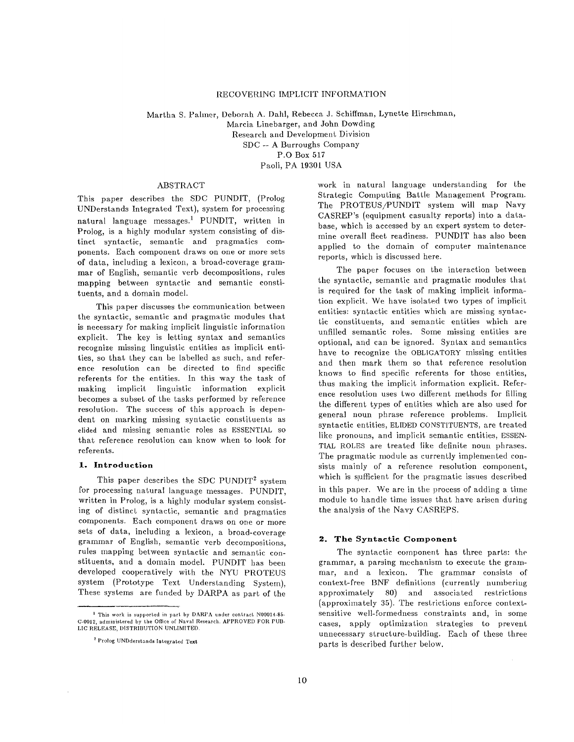### RECOVERING IMPLICIT INFORMATION

Martha S. Palmer, Deborah A. Dahl, Rebecca J. Schiffman, Lynette Hirschman, Marcia Linebarger, and John Dowding Research and Development Division SDC -- A Burroughs Company P.O Box 517

Paoli, PA 19301 USA

### ABSTRACT

This paper describes the SDC PUNDIT, (Prolog UNDerstands Integrated Text), system for processing natural language messages.<sup>1</sup> PUNDIT, written in Prolog, is a highly modular system consisting of distinct syntactic, semantic and pragmatics components. Each component draws on one or more sets of data, including a lexicon, a broad-coverage grammar of English, semantic verb decompositions, rules mapping between syntactic and semantic constituents, and a domain model.

This paper discusses the communication between the syntactic, semantic and pragmatic modules that is necessary for making implicit linguistic information explicit. The key is letting syntax and semantics recognize missing linguistic entities as implicit entities, so that they can be labelled as such, and referenee resolution can be directed to find specific referents for the entities. In this way the task of making implicit linguistic information explicit becomes a subset of the tasks performed by reference resolution. The success of this approach is dependent on marking missing syntactic constituents as elided and missing semantic roles as ESSENTIAL so that reference resolution can know when to look for referents.

#### **1. Introduction**

This paper describes the SDC PUNDIT<sup>2</sup> system for processing natural language messages. PUNDIT, written in Prolog, is a highly modular system consisting of distinct syntactic, semantic and pragmatics components. Each component draws on one or more sets of data, including a lexicon, a broad-coverage grammar of English, semantic verb decompositions, rules mapping between syntactic and semantic constituents, and a domain model. PUNDIT has been developed cooperatively with the NYU PROTEUS system (Prototype Text Understanding System), These systems are funded by DARPA as part of the work in natural language understanding for the Strategic Computing Battle Management Program. The PROTEUS/PUNDIT system will map Navy CASREP's (equipment casualty reports) into a database, which is accessed by an expert system to determine overall fleet readiness. PUNDIT has also been applied to the domain of computer maintenance reports, which is discussed here.

The paper focuses on the interaction between the syntactic, semantic and pragmatic modules that is required for the task of making implicit information explicit. We have isolated two types of implicit entities: syntactic entities which are missing syntactic constituents, and semantic entities which are unfilled semantic roles. Some missing entities are optional, and can be ignored. Syntax and semantics have to recognize the OBLIGATORY missing entities and then mark them so that reference resolution knows to find specific referents for those entities, thus making the implicit information explicit. Reference resolution uses two different methods for filling the different types of entities which are also used for general noun phrase reference problems. Implicit syntactic entities, ELIDED CONSTITUENTS, are treated like pronouns, and implicit semantic entities, ESSEN-TIAL ROLES are treated like definite noun phrases. The pragmatic module as currently implemented consists mainly of a reference resolution component, which is sufficient for the pragmatic issues described in this paper. We are in the process of adding a time module to handle time issues that have arisen during the analysis of the Navy CASREPS.

### **2. The Syntactic Component**

The syntactic component has three parts: the grammar, a parsing mechanism to execute the grammar, and a lexicon. The grammar consists of context-free BNF definitions (currently numbering approximately 80) and associated restrictions (approximately 35). The restrictions enforce contextsensitive well-formedness constraints and, in some cases, apply optimization strategies to prevent unnecessary structure-building. Each of these three parts is described further below.

<sup>&</sup>lt;sup>1</sup> This work is supported in part by DARPA under contract N00014-85-C-0012, administered by the Office of Naval Research. APPROVED FOR PUB-LIC RELEASE, DISTRIBUTION UNLIMITED

<sup>2</sup> Prolog UNDderstands Integrated Text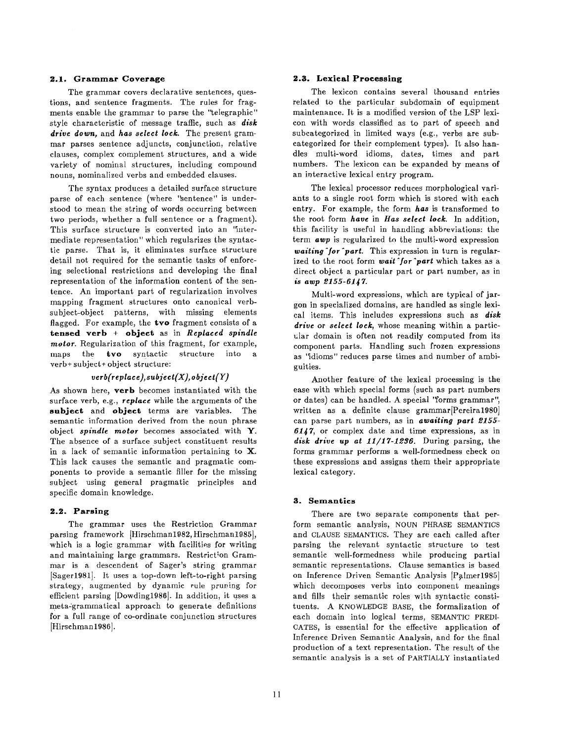### **2.1. Grammar Coverage**

The grammar covers declarative sentences, questions, and sentence fragments. The rules for fragments enable the grammar to parse the 'telegraphic" style characteristic of message traffic, such as *disk drive down,* and *has select lock.* The present grammar parses sentence adjuncts, conjunction, relative clauses, complex complement structures, and a wide variety of nominal structures, including compound nouns, nominalized verbs and embedded clauses.

The syntax produces a detailed surface structure parse of each sentence (where 'sentence'' is understood to mean the string of words occurring between two periods, whether a full sentence or a fragment). This surface structure is converted into an "intermediate representation" which regularizes the syntactic parse. That is, it eliminates surface structure detail not required for the semantic tasks of enforcing selectional restrictions and developing the final representation of the information content of the sentence. An important part of regularization involves mapping fragment structures onto canonical verbsubject-object patterns, with missing elements flagged. For example, the **tvo** fragment consists of a **tensed** verb + object as in *Replaced spindle motor.* Regularization of this fragment, for example, maps the **tvo** sYntactic structure into a verb+ subject+ object structure:

# *verb(replace),subject(X),object(Y)*

As shown here, verb becomes instantiated with the surface verb, e.g., *replace* while the arguments of the **subject and object** terms are variables. The semantic information derived from the noun phrase object *spindle motor* becomes associated with Y. The absence of a surface subject constituent results in a lack of semantic information pertaining to  $X$ . This lack causes the semantic and pragmatic components to provide a semantic filler for the missing subject using general pragmatic principles and specific domain knowledge.

### **2.2. Parsing**

The grammar uses the Restriction Grammar parsing framework [Hirschman1982, Hirschman1985], which is a logic grammar with facilities for writing and maintaining large grammars. Restrict:on Grammar is a descendent of Sager's string grammar [Sager1981]. It uses a top-down left-to-right parsing strategy, augmented by dynamic rule pruning for efficient parsing [Dowding1986]. In addition, it uses a meta:grammatical approach to generate definitions for a full range of co-ordinate conjunction structures [Hirschman1986].

### **2.3. Lexical Processing**

The lexicon contains several thousand entries related to the particular subdomain of equipment maintenance. It is a modified version of the LSP lexicon with words classified as to part of speech and subcategorized in limited ways (e.g., verbs are subcategorized for their complement types). It also handles multi-word idioms, dates, times and part numbers. The lexicon can be expanded by means of an interactive lexical entry program.

The lexical processor reduces morphological variants to a single root form which is stored with each entry. For example, the form *has* is transformed to the root form *have* in *Has select lack.* In addition, this facility is useful in handling abbreviations: the term *awp* is regularized to the multi-word expression *waiting ~for ^part.* This expression in turn is regularized to the root form *wait'for'part* which takes as a direct object a particular part or part number, as in *is awp 2155-6147.* 

Multi-word expressions, which are typical of jargon in specialized domains, are handled as single lexical items. This includes expressions such as *disk drive* **or** *select lock,* whose meaning within a particular domain is often not readily computed from its component parts. Handling such frozen expressions as 'idioms" reduces parse times and number of ambiguities.

Another feature of the lexical processing is the ease with which special forms (such as part numbers or dates) can be handled. A special 'forms grammar", written as a definite clause grammar[Pereira1980] can parse part numbers, as in *awaiting part 2155- 6147,* or complex date and time expressions, as in *disk drive up at 11/17-1286.* During parsing, the forms grammar performs a well-formedness check on these expressions and assigns them their appropriate lexical category.

# **3. Semantics**

There are two separate components that perform semantic analysis, NOUN PHRASE SEMANTICS and CLAUSE SEMANTICS. They are each called after parsing the relevant syntactic structure to test semantic well-formedness while producing partial semantic representations. Clause semantics is based on Inference Driven Semantic Analysis [Palmer1985] which decomposes verbs into component meanings and fills their semantic roles with syntactic constituents. A KNOWLEDGE BASE, the formalization of each domain into logical terms, SEMANTIC PREDI-CATES, is essential for the effective application of Inference Driven Semantic Analysis, and for the final production of a text representation. The result of the semantic analysis is a set of PARTIALLY instantiated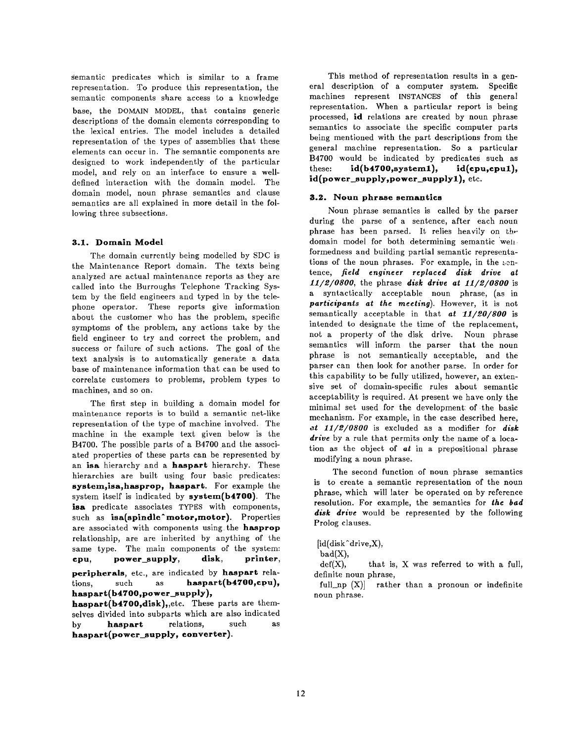Semantic predicates which is similar to a frame representation. To produce this representation, the semantic components share access to a knowledge base, the DOMAIN MODEL, that contains generic descriptions of the domain elements corresponding to the lexical entries. The model includes a detailed representation of the types of assemblies that these elements can occur in. The semantic components are designed to work independently of the particular model, and rely on an interface to ensure a welldefined interaction with the domain model. The domain model, noun phrase semantics and clause semantics are all explained in more detail in the following three subsections.

# **3.1. Domain Model**

The domain currently being modelled by SDC is the Maintenance Report domain. The texts being analyzed are actual maintenance reports as they are called into the Burroughs Telephone Tracking System by the field engineers and typed in by the telephone operator. These reports give information about the customer who has the problem, specific symptoms of the problem, any actions take by the field engineer to try and correct the problem, and success or failure of such actions. The goal of the text analysis is to automatically generate a data base of maintenance information that can be used to correlate customers to problems, problem types to machines, and so on.

The first step in building a domain model for maintenance reports is to build a semantic net-like representation of the type of machine involved. The machine in the example text given below is the B4700. The possible parts of a B4700 and the associated properties of these parts can be represented by an **isa** hierarchy and a **haspart** hierarchy. These hierarchies are built using four basic predicates: **system,lsa,hasprop, haspart.** For example the system itself is indicated by **system(b4700).** The **isa** predicate associates TYPES with components, such as isa(spindle^motor, motor). Properties are associated with components using the **hasprop**  relationship, are are inherited by anything of the same type. The main components of the system: **cpu, power\_supply, disk, printer, peripherals,** etc., are indicated by haspart relations, such as **haspart(b4700,cpu),**  *haspart(b4700,power\_supply),* 

haspart(b4700,disk),,etc. These parts are themselves divided into subparts which are also indicated by haspart relations, such as **haspart(power\_supply, converter).** 

This method of representation results in a general description of a computer system. Specific machines represent INSTANCES of this general representation. When a particular report is being processed, id relations are created by noun phrase semantics to associate the specific computer parts being mentioned with the part descriptions from the general machine representation. So a particular B4700 would be indicated by predicates such as these: **id(b4700,systeml), id(cpu,cpul), id(power\_supply,power supply1),** etc.

## **3.2. Noun phrase semantics**

Noun phrase semantics is called by the parser during the parse of a sentence, after each noun phrase has been parsed. It relies heavily on the domain model for both determining semantic well formedness and building partial semantic representations of the noun phrases. For example, in the sentence, *field engineer replaced disk drive at 11/2/0800,* the phrase *disk drive at 11/2/0800* is a syntactically acceptable noun phrase, (as in *participants at the meeting).* However, it is not semantically acceptable in that *at 11/20/800* is intended to designate the time of the replacement, not a property of the disk drive. Noun phrase semantics will inform the parser that the noun phrase is not semantically acceptable, and the parser can then look for another parse, In order for this capability to be fully utilized, however, an extensive set of domain-specific rules about semantic acceptability is required. At present we have only the minimal set used for the development: of the basic mechanism. For example, in the case described here, *at 11/2/0800* is excluded as a modifier for *disk drive* by a rule that permits only the name of a location as the object of at in a prepositional phrase modifying a noun phrase.

The second function of noun phrase semantics is to create a semantic representation of the noun phrase, which will later be operated on by reference resolution. For example, the semantics for *lhe bad disk drive* would be represented by the following Prolog clauses.

[id(disk^drive,X),

bad(X),

 $\text{def}(X)$ , that is, X was referred to with a full, definite noun phrase,

full\_np  $(X)$  rather than a pronoun or indefinite noun phrase.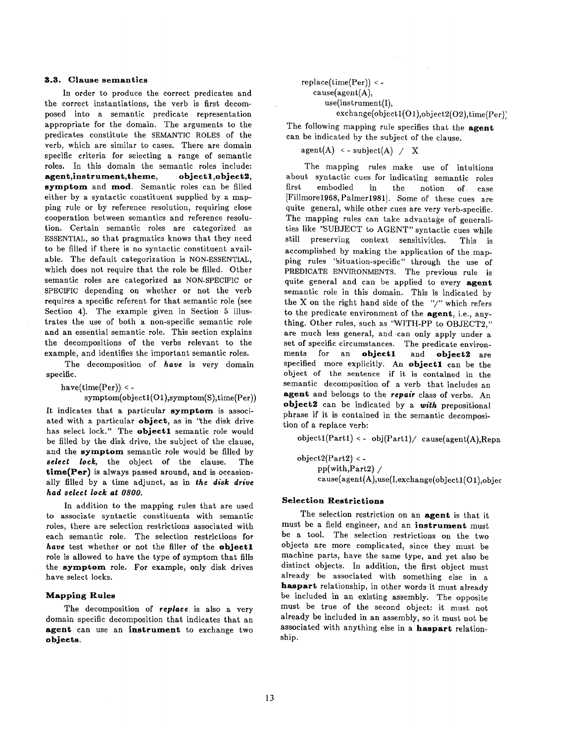### **8.3. Clause semantics**

In order to produce the correct predicates and the correct instantiations, the verb is first decomposed into a semantic predicate representation appropriate for the domain. The arguments to the predicates constitute the SEMANTIC ROLES of the verb, which are similar to cases. There are domain specific criteria for selecting a range of semantic roles. In this domain the semantic roles include: **agent,lnstrument,theme, objectl,object2, symptom and mod.** Semantic roles can be filled either by a syntactic constituent supplied by a mapping rule or by reference resolution, requiring close cooperation between semantics and reference resolution. Certain semantic roles are categorized as ESSENTIAL, so that pragmatics knows that they need to be filled if there is no syntactic constituent available. The default categorization is NON-ESSENTIAL, which does not require that the role be filled. Other semantic roles are categorized as NON-SPECIFIC or SPECIFIC depending on whether or not the verb requires a specific referent for that semantic role (see Section 4). The example given in Section 5 illustrates the use of both a non-specific semantic role and an essential semantic role. This section explains the decompositions of the verbs relevant to the example, and identifies the important semantic roles.

The decomposition of *have* is very domain specific.

have $(\text{time}(\text{Per}))$  < -

symptom(object1(O1),symptom(S),time(Per))

It indicates that a particular symptom is associated with a particular object, as in 'the disk drive has select lock." The **object1** semantic role would be filled by the disk drive, the subject of the clause, and the **symptom** semantic role would be filled by *select lock,* the object of the clause. The time(Per) is always passed around, and is occasionally filled by a time adjunct, as in *the disk drive had select lock at 0800.* 

In addition to the mapping rules that are used to associate syntactic constituents with semantic roles, there are selection restrictions associated with each semantic role. The selection restrictions for *have* test whether or not the filler of the **objectl**  role is allowed to have the type of symptom that fills the symptom role. For example, only disk drives have select locks.

# **Mapping Rules**

The decomposition of *replace,* is also a very domain specific decomposition that indicates that an **agent** can use an **instrument** to exchange two **objects.** 

 $replace(time(Per)) < -$ cause(agent(A),  $use(instrument(I)),$  $exchange(object1(O1), object2(O2), time(Per))$ 

The following mapping rule specifies that the **agent**  can be indicated by the subject of the clause.

 $agent(A) \leq -subject(A) \neq X$ 

The mapping rules make use of intuitions about syntactic cues for indicating semantic roles first embodied in the notion of case [Fillmore1968,Palmer1981]. Some of these cues are quite general, while other cues are very verb-specific. The mapping rules can take advantage of generalities like 'SUBJECT to AGENT" syntactic cues while still preserving context sensitivities. This is accomplished by making the application of the mapping rules 'situation-specific" through the use of PREDICATE ENVIRONMENTS. The previous rule is quite general and can be applied to every **agent**  semantic role in this domain. This is indicated by the X on the right hand side of the "/" which refers to the predicate environment of the **agent**, i.e., anything. Other rules, such as "WITH-PP to OBJECT2." are much less general, and can only apply under a set of specific circumstances. The predicate environments for an object1 and object2 are specified more explicitly. An object1 can be the object of the sentence if it is contained in the semantic decomposition of a verb that includes an **agent** and belongs to the *repair* class of verbs. An **object2** can be indicated by a *with* prepositional phrase if it is contained in the semantic decomposition of a replace verb:

 $object1(Part1) < obj(Part1) /$   $cause(agent(A), Repa)$ 

 $object2(Part2) < pp(with, Part2)$  /  $cause(agent(A), use(I, exchange(object 1(01), object$ 

## **Selection Restrietlons**

The selection restriction on an **agent** is that it must be a field engineer, and an **instrument** must be a tool. The selection restrictions on the two objects are more complicated, since they must be machine parts, have the same type, and yet also be distinct objects. In addition, the first object must already be associated with something else in a **haspart** relationship, in other words it must already be included in an existing assembly. The opposite must be true of the second object: it must not already be included in an assembly, so it must not be associated with anything else in a haspart relationship.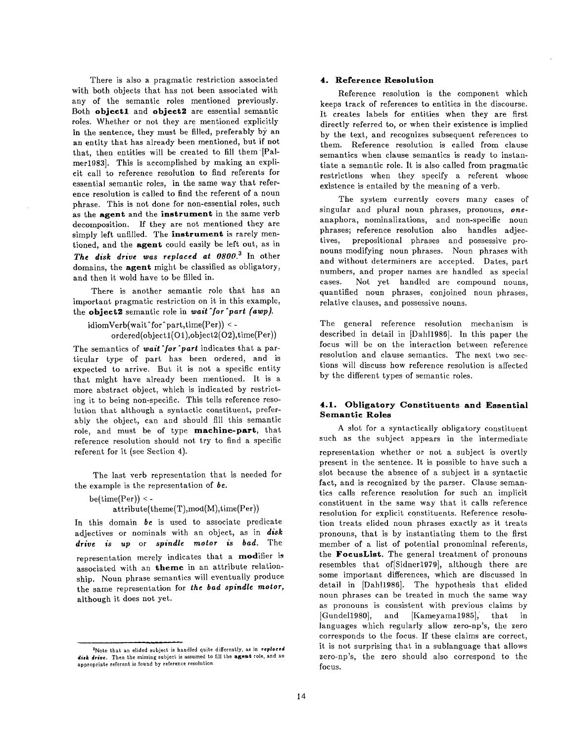There is also a pragmatic restriction associated with both objects that has not been associated with any of the semantic roles mentioned previously. Both **object1 and object2** are essential semantic roles. Whether or not they are mentioned explicitly in the sentence, they must be filled, preferably by an an entity that has already been mentioned, but if not that, then entities will be created to fill them [Palmer1983]. This is accomplished by making an explicit cull to reference resolution to find referents for essential semantic roles, in the same way that reference resolution is called to find the referent of a noun phrase. This is not done for non-essential roles, such as the **agent** and the instrument in the same verb decomposition. If they are not mentioned they are simply left unfilled. The instrument is rarely mentioned, and the **agent** could easily be left out, as in *The disk drive was replaced at 0800. 3* In other domains, the **agent** might be classified as obligatory, and then it wold have to be filled in.

There is another semantic role that has an important pragmatic restriction on it in this example, the **object2** semantic role in *wait* for  $\hat{p}$ *part* (awp).

 $idiomVerb(wait `for `part.time(Per)) < -$ 

 $ordered(object1(O1), object2(O2), time(Per))$ 

The semantics of *wait "for "part* indicates that a particular type of part has been ordered, and is expected to arrive. But it is not a specific entity that might have already been mentioned. It is a more abstract object, which is indicated by restricting it to being non-specific. This tells reference resolution that although a syntactic constituent, preferably the object, can and should fill this semantic role, and must be of type **machine-part,** that reference resolution should not try to find a specific referent for it (see Section 4).

The last verb representation that is needed for the example is the representation of *be.* 

 $be(\text{time}(Per)) < -$ 

attribute(theme(T),mod(M),time(Per))

In this domain *be* is used to associate predicate adjectives or nominals with an object, as in *disk drive is up* or *spindle motor is bad.* The representation merely indicates that a **mod**ifier is associated with an theme in an attribute relationship. Noun phrase semantics will eventually produce the same representation for *the bad spindle motor,*  although it does not yet.

### **4. Reference Resolution**

Reference resolution is the component which keeps track of references to entities in the discourse. It creates labels for entities when they are first directly referred to, or when their existence is implied by the text, and recognizes subsequent references to them. Reference resolution is called from clause semantics when clause semantics is ready to instantiate a semantic role. It is also called from pragmatic restrictions when they specify a referent whose existence is entailed by the meaning of a verb.

The system currently covers many cases of singular and plural noun phrases, pronouns, *one***anaphora,** nominalizations, and non-specific noun phrases; reference resolution also handles adjectives, prepositional phrases and possessive pronouns modifying noun phrases. Noun phrases with and without determiners are accepted. Dates, part numbers, and proper names are handled as special cases. Not yet handled are compound nouns, quantified noun phrases, conjoined noun phrases, relative clauses, and possessive nouns.

The general reference resolution mechanism is described in detail in [Dahl1986]. In this paper the focus will be on the interaction between reference resolution and clause semantics. The next two sections will discuss how reference resolution is affected by the different types of semantic roles.

## **4.1. Obligatory Constituents and Essential Semantic Roles**

A slot for a syntactically obligatory constituent such as the subject appears in the intermediate representation whether or not a subject is overtly present in the sentence. It is possible to have such a slot because the absence of a subject is a syntactic fact, and is recognized by the parser. Clause semantics calls reference resolution for such an implicit constituent in the same way that it calls reference resolution for explicit constituents. Reference resolution treats elided noun phrases exactly as it treats pronouns, that is by instantiating them to the first member of a list of potential pronominal referents, the **FocusList.** The general treatment of pronouns resembles that of[Sidnerl979], although there are some important differences, which are discussed in detail in [Dahl1986]. The hypothesis that elided noun phrases can be treated in much the same way as pronouns is consistent with previous claims by [Gunde11980], and [Kameyama1985], that in languages which regularly allow zero-np's, the zero corresponds to the focus. If these claims are correct, it is not surprising that in a sublanguage that allows zero-np's, the zero should also correspond to the focus.

<sup>3</sup>Note that an elided subject is handled quite differently, as in *replaced*  disk drive. Then the missing subject is assumed to fill the agent role, and an **appropriate referent is** found by reference resolution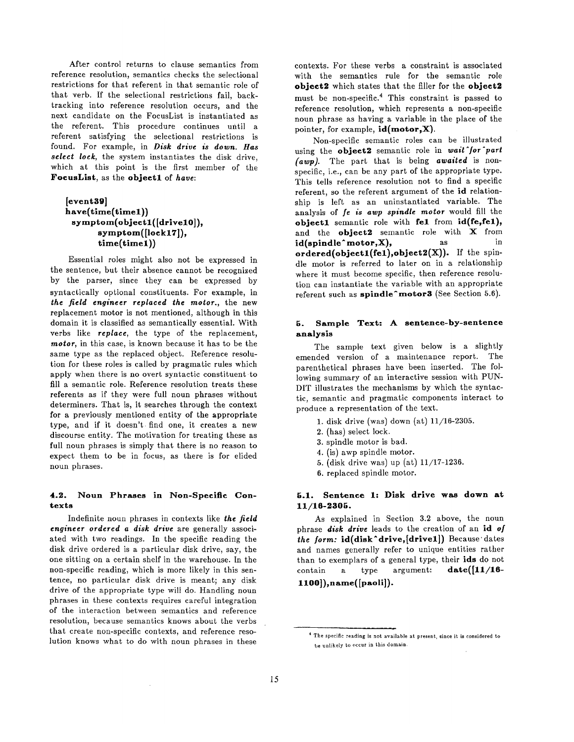After control returns to clause semantics from reference resolution, semantics checks the selectional restrictions for that referent in that semantic role of that verb. If the selectional restrictions fail, backtracking into reference resolution occurs, and the next candidate on the FocusList is instantiated as the referent. This procedure continues until a referent satisfying the selectional restrictions is found. For example, in *Disk drive is down. Has select lock,* the system instantiates the disk drive, which at this point is the first member of the **FocusList,** as the **objectl of** *have:* 

# **[event39]**   $have$ (time(time1)) **symptom(objectl([drivel0]),**  symptom([locklT]),  $time(time1))$

Essential roles might also not be expressed in the sentence, but their absence cannot be recognized by the parser, since they can be expressed by syntactically optional constituents. For example, in *the field engineer replaced the motor.,* the new replacement motor is not mentioned, although in this domain it is classified as semantically essential. With verbs like *replace,* the type of the replacement, *motor,* in this case, is known because it has to be the same type as the replaced object. Reference resolution for these roles is called by pragmatic rules which apply when there is no overt syntactic constituent to fill a semantic role. Reference resolution treats these referents as if they were full noun phrases without determiners. That is, it searches through the context for a previously mentioned entity of the appropriate type, and if it doesn't find one, it creates a new discourse entity. The motivation for treating these as full noun phrases is simply that there is no reason to expect them to be in focus, as there is for elided noun phrases.

## **4.2. Noun Phrases in Non-Speclfie Contexts**

Indefinite noun phrases in contexts like *the field engineer ordered a disk drive* are generally associated with two readings. In the specific reading the disk drive ordered is a particular disk drive, say, the one sitting on a certain shelf in the warehouse. In the non-specific reading, which is more likely in this sentence, no particular disk drive is meant; any disk drive of the appropriate type will do. Handling noun phrases in these contexts requires careful integration of the interaction between semantics and reference resolution, because semantics knows about the verbs that create non-specific contexts, and reference resolution knows what to do with noun phrases in these

contexts. For these verbs a constraint is associated with the semantics rule for the semantic role **object2** which states that the filler for the **object2**  must be non-specific.<sup>4</sup> This constraint is passed to reference resolution, which represents a non-specific noun phrase as having a variable in the place of the pointer, for example, **id(motor,X)**.

Non-specific semantic roles can be illustrated using the **object2** semantic role in *wait~for^part (awp).* The part that is being *awaited* is nonspecific, i.e., can be any part of the appropriate type. This tells reference resolution not to find a specific referent, so the referent argument of the id relationship is left as an uninstantiated variable. The analysis of *fe is awp spindle motor* would fill the **objectl** semantic role with tel from id(fe,fel), and the **object2** semantic role with X from **id(spindle motor, X),** as in **ordered(objectl(fel),object2(X)).** If the spindle motor is referred to later on in a relationship where it must become specific, then reference resolution can instantiate the variable with an appropriate referent such as **spindle^motor3** (See Section 5.6).

## **5. Sample Text: A sentence-by-sentence analysis**

The sample text given below is a slightly emended version of a maintenance report. The parenthetical phrases have been inserted. The following summary of an interactive session with PUN-DIT illustrates the mechanisms by which the syntactic, semantic and pragmatic components interact to produce a representation of the text.

- 1. disk drive (was) down (at) 11/16-2305.
- 2. (has) select lock.
- 3. spindle motor is bad.
- 4. (is) awp spindle motor.
- 5. (disk drive was) up (at) 11/17-1236.
- 6. replaced spindle motor.

# **5.1. Sentence 1: Disk drive was down at 11/16-230G.**

As explained in Section 3.2 above, the noun phrase *disk drive* leads to the creation of an **id** of *the form: id(disk<sup>drive,[drive1])* Because dates</sup> and names generally refer to unique entities rather than to exemplars of a general type, their **ids** do not contain a type argument: **date([ll/16- 1100**]), name([paoli]).

<sup>4</sup> The specific reading is not available at present, since it **is** considered to be unlikely to occur in this domain.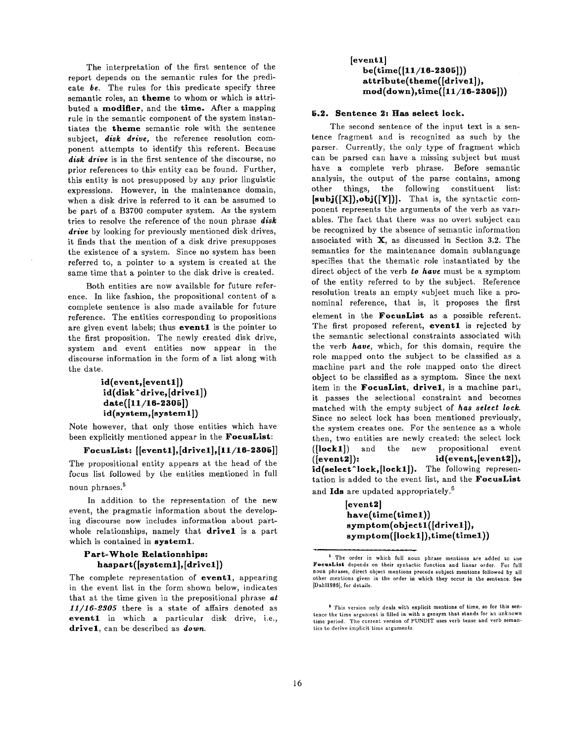The interpretation of the first sentence of the report depends on the semantic rules for the predicate *be.* The rules for this predicate specify three semantic roles, an theme to whom or which is attributed a modifier, and the **time.** After a mapping rule in the semantic component of the system instantiates the **theme** semantic role with the sentence subject, *disk drive*, the reference resolution component attempts to identify this referent. Because *disk drive* is in the first sentence of the discourse, no prior references to this entity can be found. Further, this entity is not presupposed by any prior linguistic expressions. However, in the maintenance domain, when a disk drive is referred to it can be assumed to be part of a B3700 computer system. As the system tries to resolve the reference of the noun phrase *disk drive* by looking for previously mentioned disk drives, it finds that the mention of a disk drive presupposes the existence of a system. Since no system has been referred to, a pointer to a system is created at the same time that a pointer to the disk drive is created.

Both entities are now available for future reference. In like fashion, the propositional content of a complete sentence is also made available for future reference. The entities corresponding to propositions are given event labels; thus eventl is the pointer to the first proposition. The newly created disk drive, system and event entities now appear in the discourse information in the form of a list along with the date.

# **id(event,[eventl]) id(dlsk** ^ drive, [drivel]) **date([11/le-2305]) id(system, [system1])**

Note however, that only those entities which have been explicitly mentioned appear in the **FocusList:** 

**FocusList: [[event1], [drlvel], [11/16-2305]]** 

The propositional entity appears at the head of the focus list followed by the entities mentioned in full noun phrases.<sup>5</sup>

In addition to the representation of the new event, the pragmatic information about the developing discourse now includes information about partwhole relationships, namely that drivel is a part which is contained in **systeml.** 

## **Part-Whole Relationships: haspart([systeml],[drivel])**

The complete representation of **eventl,** appearing in the event list in the form shown below, indicates that at the time given in the prepositional phrase *at 11/16-2505* there is a state of affairs denoted as **eventl** in which a particular disk drive, i.e., **drivel,** can be described as *down.* 

## [eventl] be(time([ll/1B-2305])) **attrlbute(theme([drivel]** }, mod(down),time([ll/16-230G]))

# **5.2. Sentence 2: Has select lock.**

The second sentence of the input text is a sentence fragment and is recognized as such by the parser. Currently, the only type of fragment which can be parsed can have a missing subject but must have a complete verb phrase. Before semantic analysis, the output of the parse contains, among other things, the following constituent list:  $[subj([X]),obj([Y])].$  That is, the syntactic component represents the arguments of the verb as variables. The fact that there was no overt subject can be recognized by the absence of semantic information associated with  $X$ , as discussed in Section 3.2. The semantics for the maintenance domain sublanguage specifies that the thematic role instantiated by the direct object of the verb *to have* must be a symptom of the entity referred to by the subject. Reference resolution treats an empty subject much like a pronominal reference, that is, it proposes the first element in the FoeusList as a possible referent. The first proposed referent, event1 is rejected by the semantic selectional constraints associated with the verb *have,* which, for this domain, require the role mapped onto the subject to be classified as a machine part and the role mapped onto the direct object to be classified as a symptom. Since the next item in the **FocusList, drivel,** is a machine part, it passes the selectional constraint and becomes matched with the empty subject of *has select lock.*  Since no select lock has been mentioned previously, the system creates one. For the sentence as a whole then, two entities are newly created: the select lock ([loekl]) and the new propositional event  $(\text{[event2]})$ :  $id(\text{event, [event2]})$ id(select^lock,[lock1]). The following representation is added to the event list, and the **FoeusList**  and **Ids** are updated appropriately. 6

> **[event2]**  have(time(time1)) **symptom(objectl([drivel]),**   $symptom([lock 1]),time(time 1))$

 $5$  The order in which full noun phrase mentions are added to  $\mu$ **FocusList** depends on **their syntactic function and** linear order, For full noun phrases, direct object mentions **precede subject mentions followed by** all **other** mentions given in the order **in which they occur in the sentence. See**  [Dahl1986], for details.

<sup>6</sup> This version only deals with explicit mentions of time, so for **this sen**tence the time argument is filled in with a gensym that stands for an unknown **time** period, The current version of FUNDlT uses verb **tense and** verb semantics to derive implicit time arguments.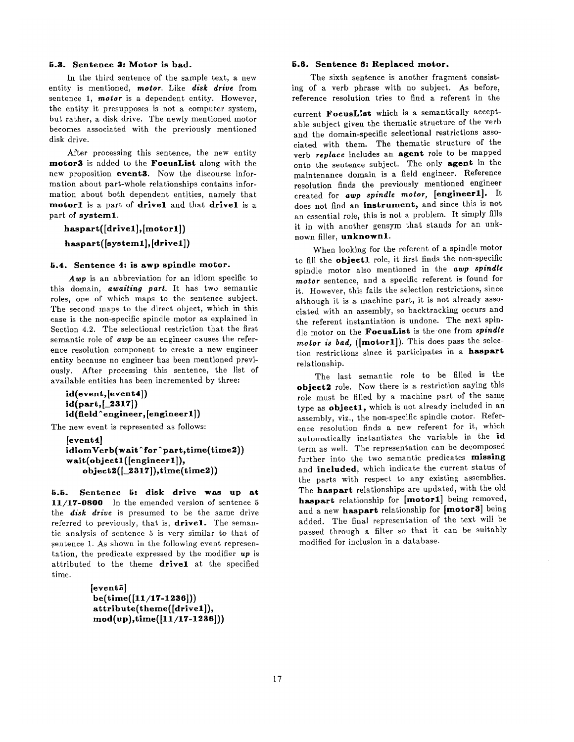### **5.3. Sentence 3: Motor is bad.**

In the third sentence of the sample text, a new entity is mentioned, *motor.* Like *disk drive* from sentence 1, *motor* is a dependent entity. However, the entity it presupposes is not a computer system, but rather, a disk drive. The newly mentioned motor becomes associated with the previously mentioned disk drive.

After processing this sentence, the new entity **motor3** is added to the FocusList along with the new proposition **event3.** Now the discourse information about part-whole relationships contains information about both dependent entities, namely that **motorl** is a part of **drivel** and that drivel is a part of **systeml.** 

```
haspart([drivel], [motor 1]) 
haspart([systeml], [drivel])
```
### **5.4. Sentence 4: is awp spindle motor.**

*Awp* is an abbreviation for an idiom specific to this domain, *awaiting part.* It has two semantic roles, one of which maps to the sentence subject. The second maps to the direct object, which in this case is the non-specific spindle motor as explained in Section 4.2. The selectional restriction that the first semantic role of *awp* be an engineer causes the reference resolution component to create a new engineer entity because no engineer has been mentioned previously. After processing this sentence, the list of available entities has been incremented by three:

```
id(event, [event4]) 
id(part,[ 2317]) 
id(field ^ engineer, [englneer 1])
```
The new event is represented as follows:

```
[event4] 
idiomVerb(wait ^ for ^ par t,time(time2)) 
wait(objectl([engineerl]), 
    object 2 ([_2317]),time(tlme2))
```
**5.5. Sentence 5: disk drive was up at**  11/17-0800 In the emended version of sentence 5 the *disk drive* is presumed to be the same drive referred to previously, that is, drivel. The semantic analysis of sentence 5 is very similar to that of sentence 1. As shown in the following event representation, the predicate expressed by the modifier *up* is attributed to the theme **drivel** at the specified time.

> **[eventS] be(tlme([11/17-12361) ) attribute(theme([drivel]), mod(up),tlme( [11/17-123@] ))**

#### **5.6. Sentence @: Replaced motor.**

The sixth sentence is another fragment consisting of a verb phrase with no subject. As before, reference resolution tries to find a referent in the

current **FocusList** which is a semantically acceptable subject given the thematic structure of the verb and the domain-specific selectional restrictions associated with them. The thematic structure of the verb *replace* includes an agent role to be mapped onto the sentence subject. The only **agent** in the maintenance domain is a field engineer. Reference resolution finds the previously mentioned engineer created for *awp spindle motor*, [engineer1]. It does not find an instrument, and since this is not an essential role, this is not a problem. It simply fills it in with another gensym that stands for an unknown filler, **unknownl.** 

When looking for the referent of a spindle motor to fill the object1 role, it first finds the non-specific spindle motor also mentioned in the *awp spindle motor* sentence, and a specific referent is found for it. However, this fails the selection restrictions, since although it is a machine part, it is not already associated with an assembly, so backtracking occurs and the referent instantiation is undone. The next spindle motor on the FocusList is the one from *spindle*  motor is bad, ([motor1]). This does pass the selection restrictions since it participates in a **haspart**  relationship.

The last semantic role to be filled is the **object2** role. Now there is a restriction saying this role must be filled by a machine part of the same type as object1, which is not already included in an assembly, viz., the non-specific spindle motor. Reference resolution finds a new referent for it, which automatically instantiates the variable in the **id**  term as well. The representation can be decomposed further into the two semantic predicates **missing**  and **included,** which indicate the current status of the parts with respect to any existing assemblies. The **haspart** relationships are updated, with the old **haspart** relationship for **[motorl]** being removed, and a new **haspart** relationship for **[motor3]** being added. The final representation of the text will be passed through a filter so that it can be suitably modified for inclusion in a database.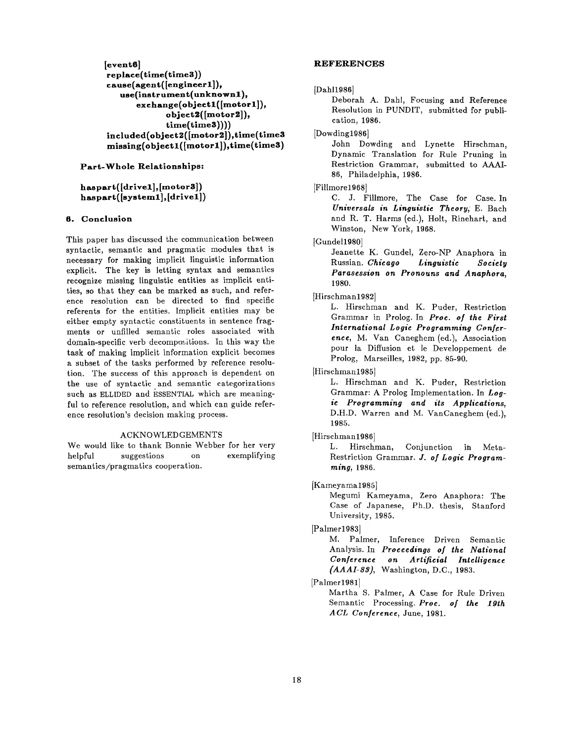```
[event6] 
replace(time(time3))cause(agent([englneerl]), 
   use(instrument(unknownl), 
       exchange(ohjectl([motorl]), 
             objeet2([motor2]), 
             tlme(tlme3)))) 
included(object 2([motor2]),tlme(tlme3 
missing(object1([motor1]), time(time3)
```
# **Part-Whole Relationships:**

**haspar t([drlvel], [motora]) haspart([systeml],** [drlvel])

## **6. Conclusion**

This paper has discussed the communication between syntactic, semantic and pragmatic modules that is necessary for making implicit linguistic information explicit. The key is letting syntax and semantics recognize missing linguistic entities as implicit entities, so that they can be marked as such, and reference resolution can be directed to find specific referents for the entities. Implicit entities may be either empty syntactic constituents in sentence fragments or unfilled semantic roles associated with domain-specific verb decompositions. In this way the task of making implicit information explicit becomes a subset of the tasks performed by reference resolution. The success of this approach is dependent on the use of syntactic and semantic categorizations such as ELLIDED and ESSENTIAL which are meaningful to reference resolution, and which can guide reference resolution's decision making process.

### **ACKNOWLEDGEMENTS**

We would like to thank Bonnie Webber for her very helpful suggestions on exemplifying semantics/pragmatics cooperation.

#### **REFERENCES**

## [Dahl1986]

Deborah A. Dahl, Focusing and Reference Resolution in PUNDIT, submitted for publication, 1986.

[Dowdlng1986]

John Dowding and Lynette Hirschman, Dynamic Translation for Rule Pruning in Restriction Grammar, submitted to AAAI-86, Philadelphia, 1986.

# [Fillmore1968]

C. J. Fillmore, The Case for Case. In *Universals in Linguistic Theory,* E. Bach and R. T. Harms (ed.), Holt, Rinehart, and Winston, New York, 1968.

[Gundel1980]

Jeanette K. Gundel, Zero-NP Anaphora in Russian. *Chicago Linguistic Society Parasession on Pronouns and Anaphora,*  1980.

### [Hirschman1982]

L. Hirschman and K. Puder, Restriction Grammar in Prolog. In *Proc. of the First International Logic Programming Conference,* M. Van Caneghem (ed.), Association pour la Diffusion et le Developpement de Prolog, Marseilles, 1982, pp. 85-90.

[Hirschman1985]

L. Hirschman and K. Puder, Restriction Grammar: A Prolog Implementation. In *Logic Programming and its Applications,*  D.H.D. Warren and M. VanCaneghem (ed.), 1985.

### [Hirschman1986]

L. Hirschman, Conjunction in Meta-Restriction Grammar. *J. of Logic Programruing,* 1986.

## [Kameyama1985]

Megumi Kameyama, Zero Anaphora: The Case of Japanese, Ph.D. thesis, Stanford University, 1985.

## [Pahner1983]

M. Palmer, Inference Driven Semantic Analysis. In *Proceedings of the National Conference on Artificial Intelligence (AAAI-88),* Washington, D.C., 1983.

### [Palmer1981]

Martha S. Palmer, A Case for Rule Driven Semantic Processing. *Proc. of the 19th ACL Conference,* June, 1981.